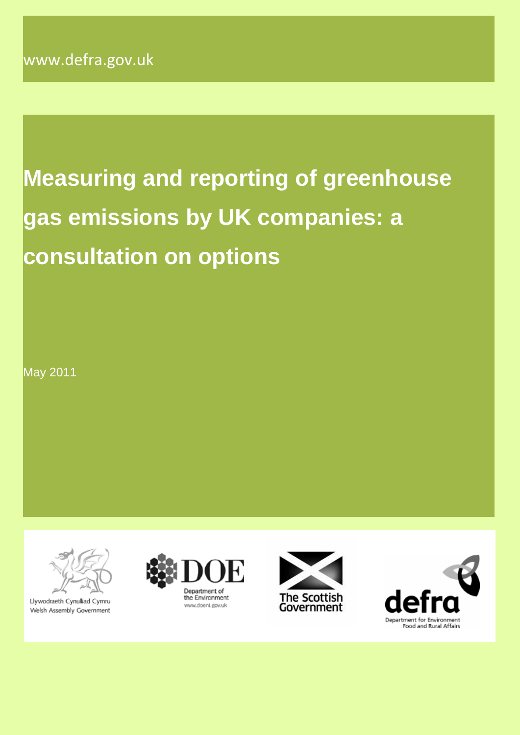# **Measuring and reporting of greenhouse gas emissions by UK companies: a consultation on options**

May 2011



Llywodraeth Cynulliad Cymru Welsh Assembly Government





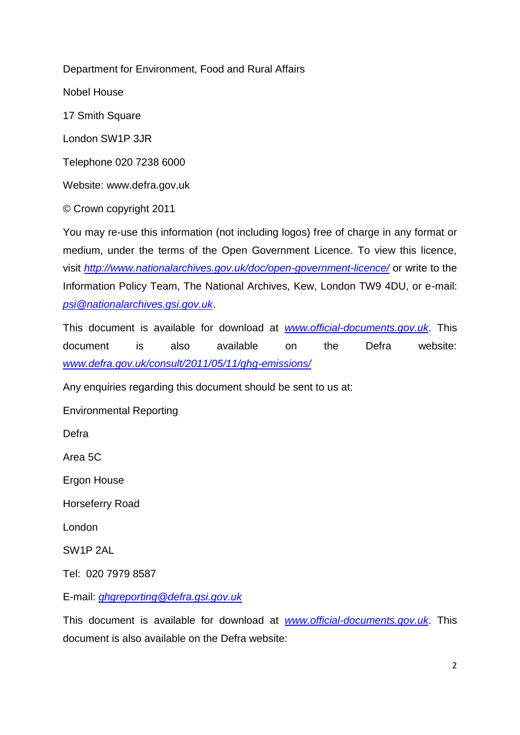Department for Environment, Food and Rural Affairs

Nobel House

17 Smith Square

London SW1P 3JR

Telephone 020 7238 6000

Website: www.defra.gov.uk

© Crown copyright 2011

You may re-use this information (not including logos) free of charge in any format or medium, under the terms of the Open Government Licence. To view this licence, visit *<http://www.nationalarchives.gov.uk/doc/open-government-licence/>* or write to the Information Policy Team, The National Archives, Kew, London TW9 4DU, or e-mail: *[psi@nationalarchives.gsi.gov.uk](mailto:psi@nationalarchives.gsi.gov.uk)*.

This document is available for download at *[www.official-documents.gov.uk](http://www.official-documents.gov.uk/)*. This document is also available on the Defra website: *[www.defra.gov.uk/consult/2011/05/11/ghg-emissions/](http://www.defra.gov.uk/consult/2011/05/11/ghg-emissions/)*

Any enquiries regarding this document should be sent to us at:

Environmental Reporting

Defra

Area 5C

Ergon House

Horseferry Road

London

SW1P 2AL

Tel: 020 7979 8587

E-mail: *[ghgreporting@defra.gsi.gov.uk](mailto:ghgreporting@defra.gsi.gov.uk)*

This document is available for download at *[www.official-documents.gov.uk](http://www.official-documents.gov.uk/)*. This document is also available on the Defra website: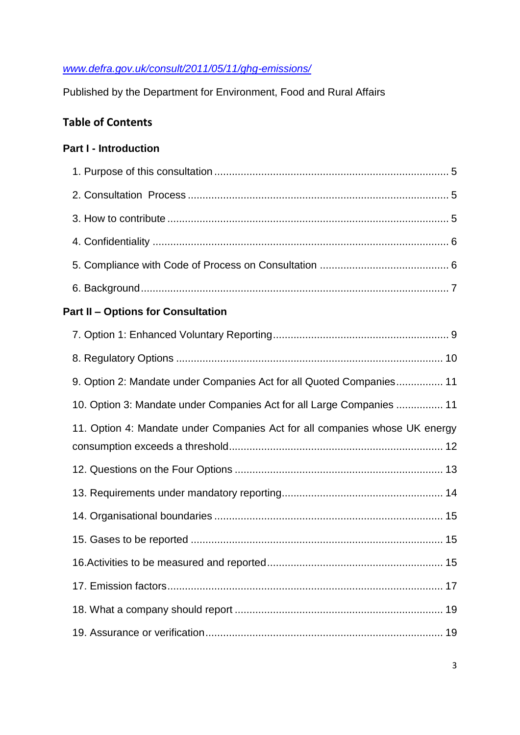## *[www.defra.gov.uk/consult/2011/05/11/ghg-emissions/](http://www.defra.gov.uk/consult/2011/05/11/ghg-emissions/)*

Published by the Department for Environment, Food and Rural Affairs

# **Table of Contents**

## **Part I - Introduction**

## **Part II – Options for Consultation**

| 9. Option 2: Mandate under Companies Act for all Quoted Companies 11        |
|-----------------------------------------------------------------------------|
| 10. Option 3: Mandate under Companies Act for all Large Companies  11       |
| 11. Option 4: Mandate under Companies Act for all companies whose UK energy |
|                                                                             |
|                                                                             |
|                                                                             |
|                                                                             |
|                                                                             |
|                                                                             |
|                                                                             |
|                                                                             |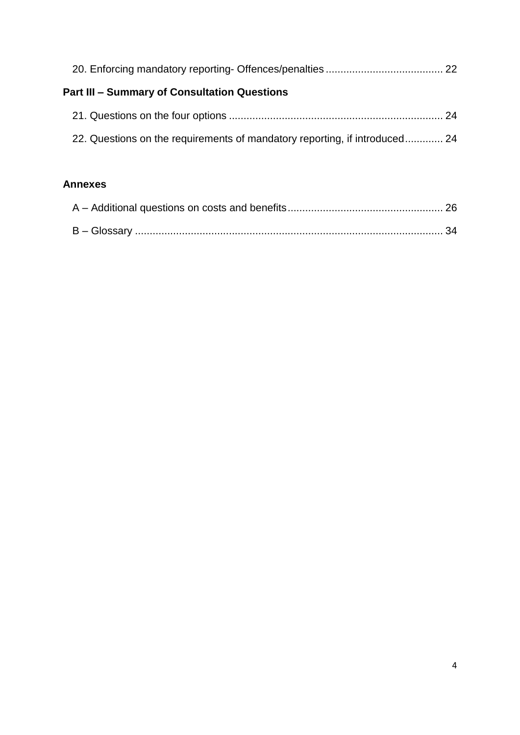| <b>Part III - Summary of Consultation Questions</b>                        |  |
|----------------------------------------------------------------------------|--|
|                                                                            |  |
| 22. Questions on the requirements of mandatory reporting, if introduced 24 |  |
|                                                                            |  |

## **Annexes**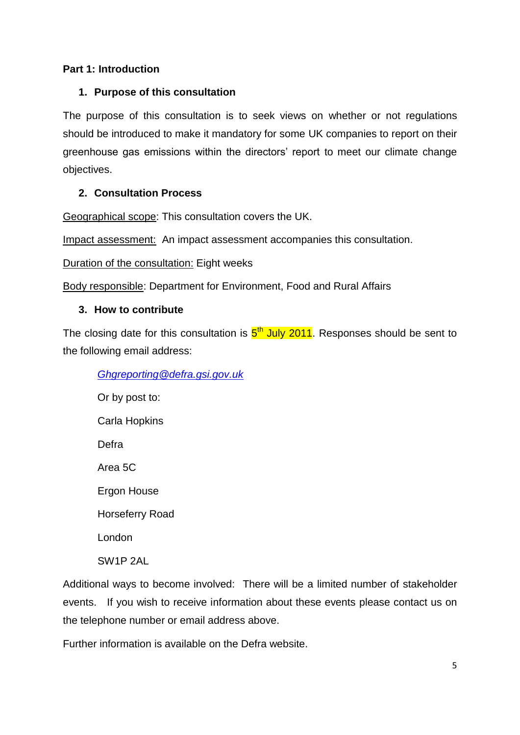## **Part 1: Introduction**

#### **1. Purpose of this consultation**

The purpose of this consultation is to seek views on whether or not regulations should be introduced to make it mandatory for some UK companies to report on their greenhouse gas emissions within the directors" report to meet our climate change objectives.

#### **2. Consultation Process**

Geographical scope: This consultation covers the UK.

Impact assessment: An impact assessment accompanies this consultation.

Duration of the consultation: Eight weeks

Body responsible: Department for Environment, Food and Rural Affairs

#### **3. How to contribute**

The closing date for this consultation is  $5<sup>th</sup>$  July 2011. Responses should be sent to the following email address:

#### *[Ghgreporting@defra.gsi.gov.uk](mailto:Ghgreporting@defra.gsi.gov.uk)*

Or by post to: Carla Hopkins Defra Area 5C Ergon House Horseferry Road London SW1P 2AL

Additional ways to become involved: There will be a limited number of stakeholder events. If you wish to receive information about these events please contact us on the telephone number or email address above.

Further information is available on the Defra website.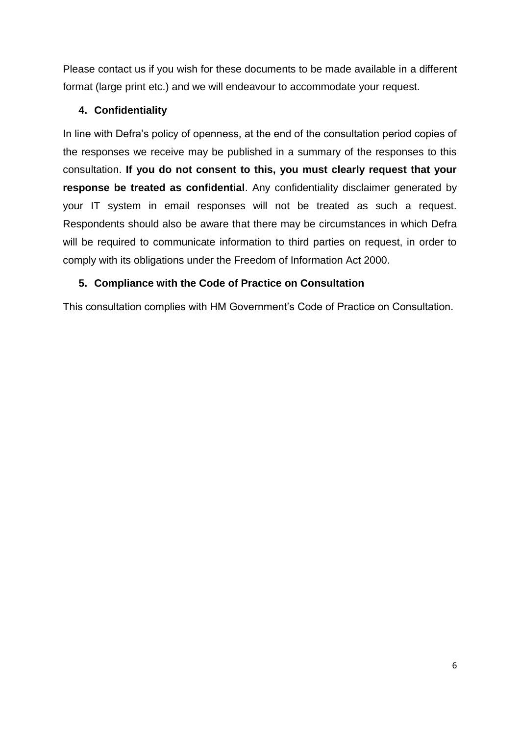Please contact us if you wish for these documents to be made available in a different format (large print etc.) and we will endeavour to accommodate your request.

## **4. Confidentiality**

In line with Defra"s policy of openness, at the end of the consultation period copies of the responses we receive may be published in a summary of the responses to this consultation. **If you do not consent to this, you must clearly request that your response be treated as confidential**. Any confidentiality disclaimer generated by your IT system in email responses will not be treated as such a request. Respondents should also be aware that there may be circumstances in which Defra will be required to communicate information to third parties on request, in order to comply with its obligations under the Freedom of Information Act 2000.

## **5. Compliance with the Code of Practice on Consultation**

This consultation complies with HM Government's Code of Practice on Consultation.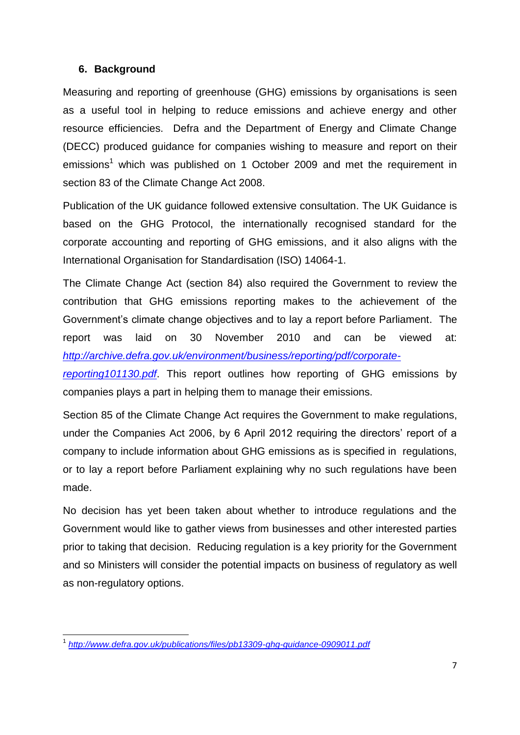#### **6. Background**

Measuring and reporting of greenhouse (GHG) emissions by organisations is seen as a useful tool in helping to reduce emissions and achieve energy and other resource efficiencies. Defra and the Department of Energy and Climate Change (DECC) produced guidance for companies wishing to measure and report on their emissions<sup>1</sup> which was published on 1 October 2009 and met the requirement in section 83 of the Climate Change Act 2008.

Publication of the UK guidance followed extensive consultation. The UK Guidance is based on the GHG Protocol, the internationally recognised standard for the corporate accounting and reporting of GHG emissions, and it also aligns with the International Organisation for Standardisation (ISO) 14064-1.

The Climate Change Act (section 84) also required the Government to review the contribution that GHG emissions reporting makes to the achievement of the Government"s climate change objectives and to lay a report before Parliament. The report was laid on 30 November 2010 and can be viewed at: *[http://archive.defra.gov.uk/environment/business/reporting/pdf/corporate-](http://archive.defra.gov.uk/environment/business/reporting/pdf/corporate-reporting101130.pdf)*

*[reporting101130.pdf](http://archive.defra.gov.uk/environment/business/reporting/pdf/corporate-reporting101130.pdf)*. This report outlines how reporting of GHG emissions by companies plays a part in helping them to manage their emissions.

Section 85 of the Climate Change Act requires the Government to make regulations, under the Companies Act 2006, by 6 April 2012 requiring the directors' report of a company to include information about GHG emissions as is specified in regulations, or to lay a report before Parliament explaining why no such regulations have been made.

No decision has yet been taken about whether to introduce regulations and the Government would like to gather views from businesses and other interested parties prior to taking that decision. Reducing regulation is a key priority for the Government and so Ministers will consider the potential impacts on business of regulatory as well as non-regulatory options.

 1 *<http://www.defra.gov.uk/publications/files/pb13309-ghg-guidance-0909011.pdf>*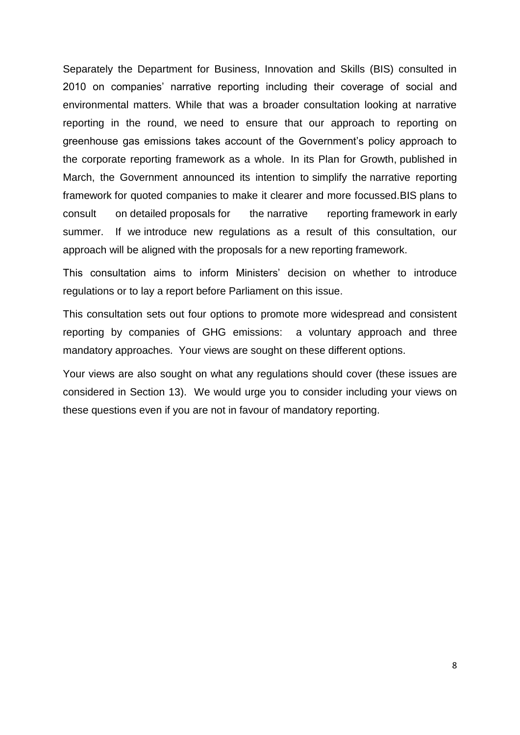Separately the Department for Business, Innovation and Skills (BIS) consulted in 2010 on companies" narrative reporting including their coverage of social and environmental matters. While that was a broader consultation looking at narrative reporting in the round, we need to ensure that our approach to reporting on greenhouse gas emissions takes account of the Government's policy approach to the corporate reporting framework as a whole. In its Plan for Growth, published in March, the Government announced its intention to simplify the narrative reporting framework for quoted companies to make it clearer and more focussed.BIS plans to consult on detailed proposals for the narrative reporting framework in early summer. If we introduce new regulations as a result of this consultation, our approach will be aligned with the proposals for a new reporting framework.

This consultation aims to inform Ministers" decision on whether to introduce regulations or to lay a report before Parliament on this issue.

This consultation sets out four options to promote more widespread and consistent reporting by companies of GHG emissions: a voluntary approach and three mandatory approaches. Your views are sought on these different options.

Your views are also sought on what any regulations should cover (these issues are considered in Section 13). We would urge you to consider including your views on these questions even if you are not in favour of mandatory reporting.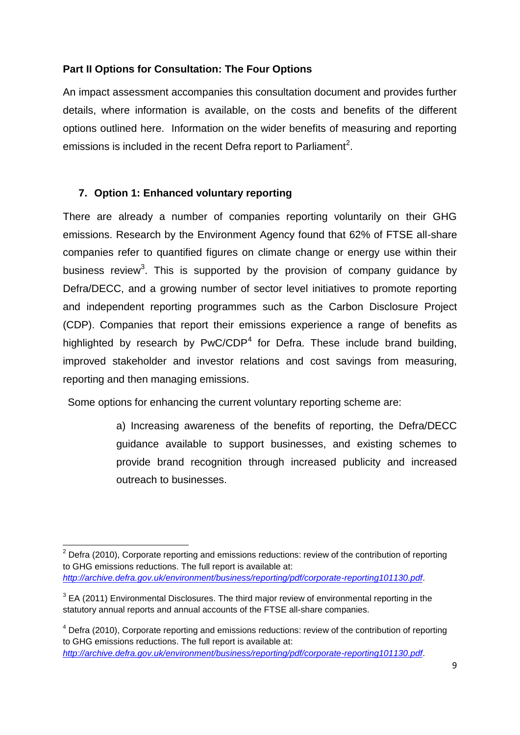## **Part II Options for Consultation: The Four Options**

An impact assessment accompanies this consultation document and provides further details, where information is available, on the costs and benefits of the different options outlined here. Information on the wider benefits of measuring and reporting emissions is included in the recent Defra report to Parliament<sup>2</sup>.

#### **7. Option 1: Enhanced voluntary reporting**

 $\overline{a}$ 

There are already a number of companies reporting voluntarily on their GHG emissions. Research by the Environment Agency found that 62% of FTSE all-share companies refer to quantified figures on climate change or energy use within their business review<sup>3</sup>. This is supported by the provision of company guidance by Defra/DECC, and a growing number of sector level initiatives to promote reporting and independent reporting programmes such as the Carbon Disclosure Project (CDP). Companies that report their emissions experience a range of benefits as highlighted by research by  $PwC/CDP<sup>4</sup>$  for Defra. These include brand building, improved stakeholder and investor relations and cost savings from measuring, reporting and then managing emissions.

Some options for enhancing the current voluntary reporting scheme are:

a) Increasing awareness of the benefits of reporting, the Defra/DECC guidance available to support businesses, and existing schemes to provide brand recognition through increased publicity and increased outreach to businesses.

 $2$  Defra (2010), Corporate reporting and emissions reductions: review of the contribution of reporting to GHG emissions reductions. The full report is available at: *<http://archive.defra.gov.uk/environment/business/reporting/pdf/corporate-reporting101130.pdf>*.

 $3$  EA (2011) Environmental Disclosures. The third major review of environmental reporting in the statutory annual reports and annual accounts of the FTSE all-share companies.

 $4$  Defra (2010), Corporate reporting and emissions reductions: review of the contribution of reporting to GHG emissions reductions. The full report is available at: *<http://archive.defra.gov.uk/environment/business/reporting/pdf/corporate-reporting101130.pdf>*.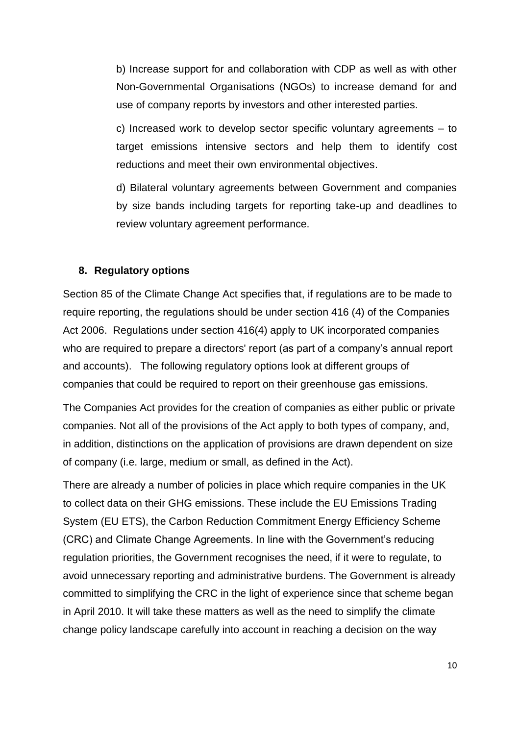b) Increase support for and collaboration with CDP as well as with other Non-Governmental Organisations (NGOs) to increase demand for and use of company reports by investors and other interested parties.

c) Increased work to develop sector specific voluntary agreements – to target emissions intensive sectors and help them to identify cost reductions and meet their own environmental objectives.

d) Bilateral voluntary agreements between Government and companies by size bands including targets for reporting take-up and deadlines to review voluntary agreement performance.

#### **8. Regulatory options**

Section 85 of the Climate Change Act specifies that, if regulations are to be made to require reporting, the regulations should be under section 416 (4) of the Companies Act 2006. Regulations under section 416(4) apply to UK incorporated companies who are required to prepare a directors' report (as part of a company's annual report and accounts). The following regulatory options look at different groups of companies that could be required to report on their greenhouse gas emissions.

The Companies Act provides for the creation of companies as either public or private companies. Not all of the provisions of the Act apply to both types of company, and, in addition, distinctions on the application of provisions are drawn dependent on size of company (i.e. large, medium or small, as defined in the Act).

There are already a number of policies in place which require companies in the UK to collect data on their GHG emissions. These include the EU Emissions Trading System (EU ETS), the Carbon Reduction Commitment Energy Efficiency Scheme (CRC) and Climate Change Agreements. In line with the Government"s reducing regulation priorities, the Government recognises the need, if it were to regulate, to avoid unnecessary reporting and administrative burdens. The Government is already committed to simplifying the CRC in the light of experience since that scheme began in April 2010. It will take these matters as well as the need to simplify the climate change policy landscape carefully into account in reaching a decision on the way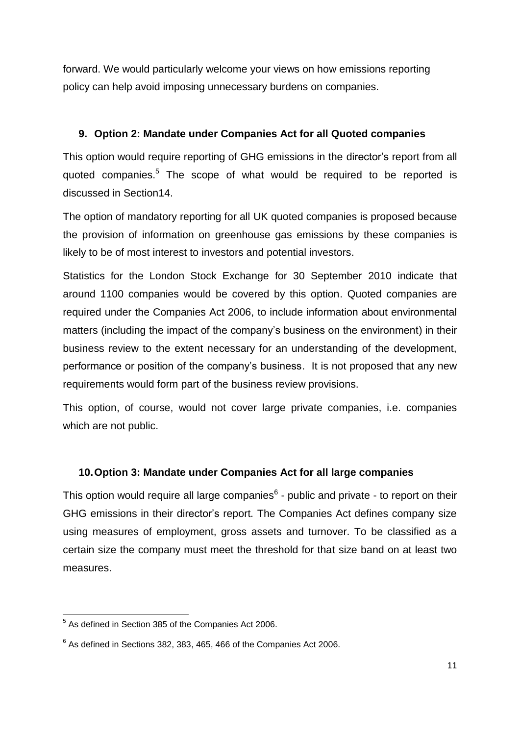forward. We would particularly welcome your views on how emissions reporting policy can help avoid imposing unnecessary burdens on companies.

## **9. Option 2: Mandate under Companies Act for all Quoted companies**

This option would require reporting of GHG emissions in the director's report from all quoted companies.<sup>5</sup> The scope of what would be required to be reported is discussed in Section14.

The option of mandatory reporting for all UK quoted companies is proposed because the provision of information on greenhouse gas emissions by these companies is likely to be of most interest to investors and potential investors.

Statistics for the London Stock Exchange for 30 September 2010 indicate that around 1100 companies would be covered by this option. Quoted companies are required under the Companies Act 2006, to include information about environmental matters (including the impact of the company's business on the environment) in their business review to the extent necessary for an understanding of the development, performance or position of the company"s business. It is not proposed that any new requirements would form part of the business review provisions.

This option, of course, would not cover large private companies, i.e. companies which are not public.

## **10.Option 3: Mandate under Companies Act for all large companies**

This option would require all large companies $<sup>6</sup>$  - public and private - to report on their</sup> GHG emissions in their director"s report. The Companies Act defines company size using measures of employment, gross assets and turnover. To be classified as a certain size the company must meet the threshold for that size band on at least two measures.

 5 As defined in Section 385 of the Companies Act 2006.

 $6$  As defined in Sections 382, 383, 465, 466 of the Companies Act 2006.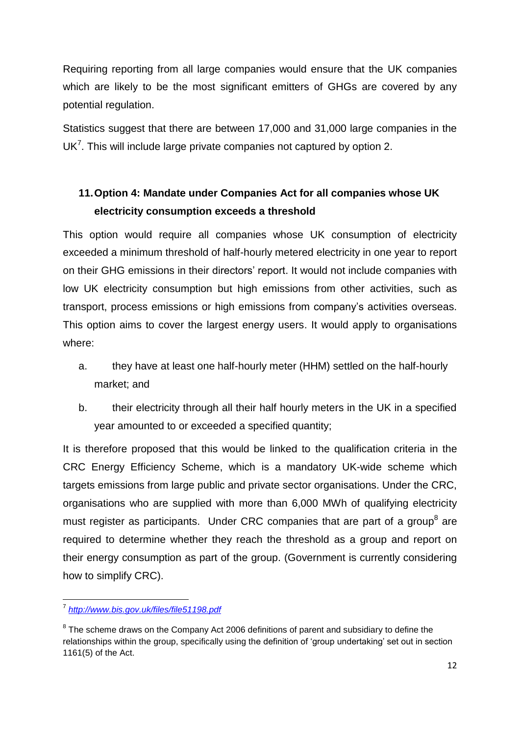Requiring reporting from all large companies would ensure that the UK companies which are likely to be the most significant emitters of GHGs are covered by any potential regulation.

Statistics suggest that there are between 17,000 and 31,000 large companies in the UK<sup>7</sup>. This will include large private companies not captured by option 2.

# **11.Option 4: Mandate under Companies Act for all companies whose UK electricity consumption exceeds a threshold**

This option would require all companies whose UK consumption of electricity exceeded a minimum threshold of half-hourly metered electricity in one year to report on their GHG emissions in their directors' report. It would not include companies with low UK electricity consumption but high emissions from other activities, such as transport, process emissions or high emissions from company"s activities overseas. This option aims to cover the largest energy users. It would apply to organisations where:

- a. they have at least one half-hourly meter (HHM) settled on the half-hourly market; and
- b. their electricity through all their half hourly meters in the UK in a specified year amounted to or exceeded a specified quantity;

It is therefore proposed that this would be linked to the qualification criteria in the CRC Energy Efficiency Scheme, which is a mandatory UK-wide scheme which targets emissions from large public and private sector organisations. Under the CRC, organisations who are supplied with more than 6,000 MWh of qualifying electricity must register as participants. Under CRC companies that are part of a group<sup>8</sup> are required to determine whether they reach the threshold as a group and report on their energy consumption as part of the group. (Government is currently considering how to simplify CRC).

 7 *<http://www.bis.gov.uk/files/file51198.pdf>*

 $8$  The scheme draws on the Company Act 2006 definitions of parent and subsidiary to define the relationships within the group, specifically using the definition of "group undertaking" set out in section 1161(5) of the Act.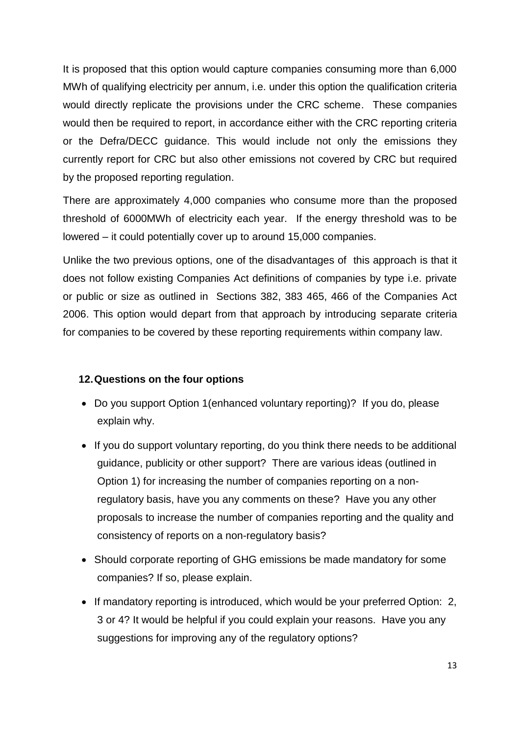It is proposed that this option would capture companies consuming more than 6,000 MWh of qualifying electricity per annum, i.e. under this option the qualification criteria would directly replicate the provisions under the CRC scheme. These companies would then be required to report, in accordance either with the CRC reporting criteria or the Defra/DECC guidance. This would include not only the emissions they currently report for CRC but also other emissions not covered by CRC but required by the proposed reporting regulation.

There are approximately 4,000 companies who consume more than the proposed threshold of 6000MWh of electricity each year. If the energy threshold was to be lowered – it could potentially cover up to around 15,000 companies.

Unlike the two previous options, one of the disadvantages of this approach is that it does not follow existing Companies Act definitions of companies by type i.e. private or public or size as outlined in Sections 382, 383 465, 466 of the Companies Act 2006. This option would depart from that approach by introducing separate criteria for companies to be covered by these reporting requirements within company law.

#### **12.Questions on the four options**

- Do you support Option 1(enhanced voluntary reporting)? If you do, please explain why.
- If you do support voluntary reporting, do you think there needs to be additional guidance, publicity or other support? There are various ideas (outlined in Option 1) for increasing the number of companies reporting on a nonregulatory basis, have you any comments on these? Have you any other proposals to increase the number of companies reporting and the quality and consistency of reports on a non-regulatory basis?
- Should corporate reporting of GHG emissions be made mandatory for some companies? If so, please explain.
- If mandatory reporting is introduced, which would be your preferred Option: 2, 3 or 4? It would be helpful if you could explain your reasons. Have you any suggestions for improving any of the regulatory options?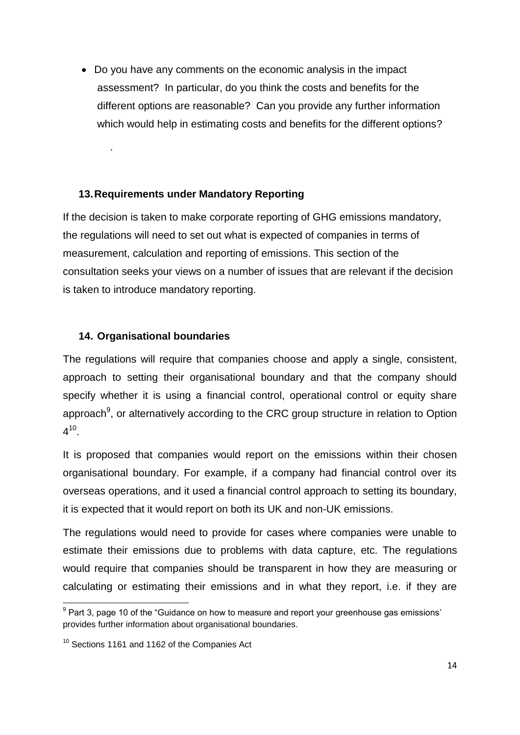Do you have any comments on the economic analysis in the impact assessment? In particular, do you think the costs and benefits for the different options are reasonable? Can you provide any further information which would help in estimating costs and benefits for the different options?

#### **13.Requirements under Mandatory Reporting**

If the decision is taken to make corporate reporting of GHG emissions mandatory, the regulations will need to set out what is expected of companies in terms of measurement, calculation and reporting of emissions. This section of the consultation seeks your views on a number of issues that are relevant if the decision is taken to introduce mandatory reporting.

## **14. Organisational boundaries**

.

The regulations will require that companies choose and apply a single, consistent, approach to setting their organisational boundary and that the company should specify whether it is using a financial control, operational control or equity share approach $9$ , or alternatively according to the CRC group structure in relation to Option  $4^{10}$ .

It is proposed that companies would report on the emissions within their chosen organisational boundary. For example, if a company had financial control over its overseas operations, and it used a financial control approach to setting its boundary, it is expected that it would report on both its UK and non-UK emissions.

The regulations would need to provide for cases where companies were unable to estimate their emissions due to problems with data capture, etc. The regulations would require that companies should be transparent in how they are measuring or calculating or estimating their emissions and in what they report, i.e. if they are

\_\_\_\_\_\_\_\_\_\_\_\_\_\_\_\_\_\_\_\_\_\_\_\_\_\_\_\_\_\_\_\_\_\_\_<br><sup>9</sup> Part 3, page 10 of the "Guidance on how to measure and report your greenhouse gas emissions' provides further information about organisational boundaries.

<sup>&</sup>lt;sup>10</sup> Sections 1161 and 1162 of the Companies Act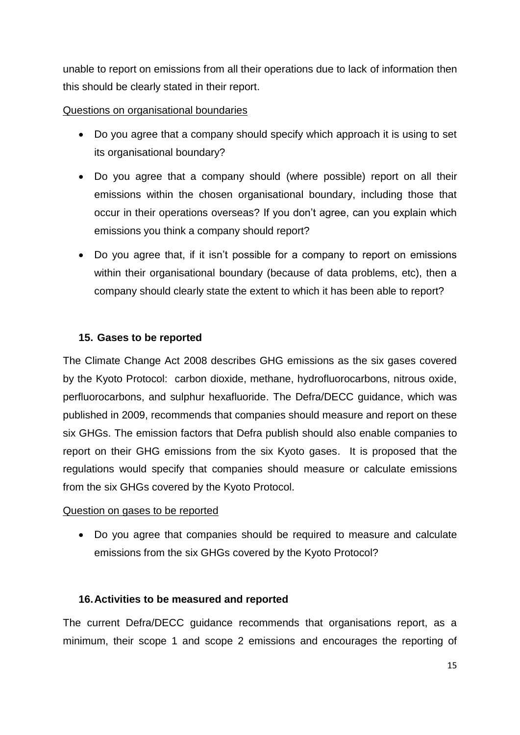unable to report on emissions from all their operations due to lack of information then this should be clearly stated in their report.

#### Questions on organisational boundaries

- Do you agree that a company should specify which approach it is using to set its organisational boundary?
- Do you agree that a company should (where possible) report on all their emissions within the chosen organisational boundary, including those that occur in their operations overseas? If you don"t agree, can you explain which emissions you think a company should report?
- Do you agree that, if it isn't possible for a company to report on emissions within their organisational boundary (because of data problems, etc), then a company should clearly state the extent to which it has been able to report?

#### **15. Gases to be reported**

The Climate Change Act 2008 describes GHG emissions as the six gases covered by the Kyoto Protocol: carbon dioxide, methane, hydrofluorocarbons, nitrous oxide, perfluorocarbons, and sulphur hexafluoride. The Defra/DECC guidance, which was published in 2009, recommends that companies should measure and report on these six GHGs. The emission factors that Defra publish should also enable companies to report on their GHG emissions from the six Kyoto gases. It is proposed that the regulations would specify that companies should measure or calculate emissions from the six GHGs covered by the Kyoto Protocol.

#### Question on gases to be reported

 Do you agree that companies should be required to measure and calculate emissions from the six GHGs covered by the Kyoto Protocol?

#### **16.Activities to be measured and reported**

The current Defra/DECC guidance recommends that organisations report, as a minimum, their scope 1 and scope 2 emissions and encourages the reporting of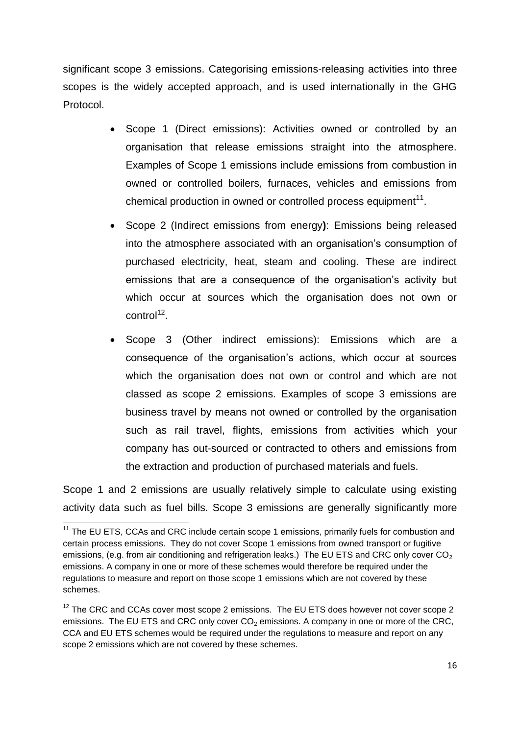significant scope 3 emissions. Categorising emissions-releasing activities into three scopes is the widely accepted approach, and is used internationally in the GHG Protocol.

- Scope 1 (Direct emissions): Activities owned or controlled by an organisation that release emissions straight into the atmosphere. Examples of Scope 1 emissions include emissions from combustion in owned or controlled boilers, furnaces, vehicles and emissions from chemical production in owned or controlled process equipment $11$ .
- Scope 2 (Indirect emissions from energy**)**: Emissions being released into the atmosphere associated with an organisation's consumption of purchased electricity, heat, steam and cooling. These are indirect emissions that are a consequence of the organisation's activity but which occur at sources which the organisation does not own or control<sup>12</sup>.
- Scope 3 (Other indirect emissions): Emissions which are a consequence of the organisation"s actions, which occur at sources which the organisation does not own or control and which are not classed as scope 2 emissions. Examples of scope 3 emissions are business travel by means not owned or controlled by the organisation such as rail travel, flights, emissions from activities which your company has out-sourced or contracted to others and emissions from the extraction and production of purchased materials and fuels.

Scope 1 and 2 emissions are usually relatively simple to calculate using existing activity data such as fuel bills. Scope 3 emissions are generally significantly more

**<sup>.</sup>**  $11$  The EU ETS, CCAs and CRC include certain scope 1 emissions, primarily fuels for combustion and certain process emissions. They do not cover Scope 1 emissions from owned transport or fugitive emissions, (e.g. from air conditioning and refrigeration leaks.) The EU ETS and CRC only cover CO<sub>2</sub> emissions. A company in one or more of these schemes would therefore be required under the regulations to measure and report on those scope 1 emissions which are not covered by these schemes.

 $12$  The CRC and CCAs cover most scope 2 emissions. The EU ETS does however not cover scope 2 emissions. The EU ETS and CRC only cover  $CO<sub>2</sub>$  emissions. A company in one or more of the CRC, CCA and EU ETS schemes would be required under the regulations to measure and report on any scope 2 emissions which are not covered by these schemes.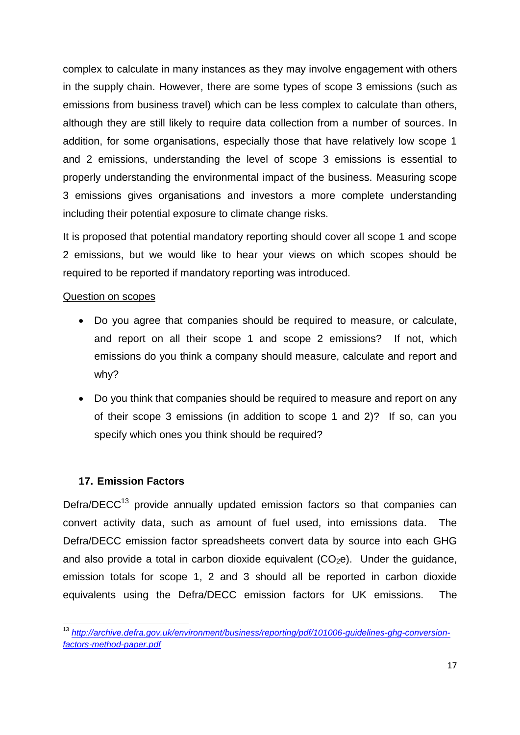complex to calculate in many instances as they may involve engagement with others in the supply chain. However, there are some types of scope 3 emissions (such as emissions from business travel) which can be less complex to calculate than others, although they are still likely to require data collection from a number of sources. In addition, for some organisations, especially those that have relatively low scope 1 and 2 emissions, understanding the level of scope 3 emissions is essential to properly understanding the environmental impact of the business. Measuring scope 3 emissions gives organisations and investors a more complete understanding including their potential exposure to climate change risks.

It is proposed that potential mandatory reporting should cover all scope 1 and scope 2 emissions, but we would like to hear your views on which scopes should be required to be reported if mandatory reporting was introduced.

#### Question on scopes

- Do you agree that companies should be required to measure, or calculate, and report on all their scope 1 and scope 2 emissions? If not, which emissions do you think a company should measure, calculate and report and why?
- Do you think that companies should be required to measure and report on any of their scope 3 emissions (in addition to scope 1 and 2)? If so, can you specify which ones you think should be required?

## **17. Emission Factors**

**.** 

Defra/DECC $<sup>13</sup>$  provide annually updated emission factors so that companies can</sup> convert activity data, such as amount of fuel used, into emissions data. The Defra/DECC emission factor spreadsheets convert data by source into each GHG and also provide a total in carbon dioxide equivalent  $(CO<sub>2</sub>e)$ . Under the quidance, emission totals for scope 1, 2 and 3 should all be reported in carbon dioxide equivalents using the Defra/DECC emission factors for UK emissions. The

<sup>13</sup> *[http://archive.defra.gov.uk/environment/business/reporting/pdf/101006-guidelines-ghg-conversion](http://archive.defra.gov.uk/environment/business/reporting/pdf/101006-guidelines-ghg-conversion-factors-method-paper.pdf)[factors-method-paper.pdf](http://archive.defra.gov.uk/environment/business/reporting/pdf/101006-guidelines-ghg-conversion-factors-method-paper.pdf)*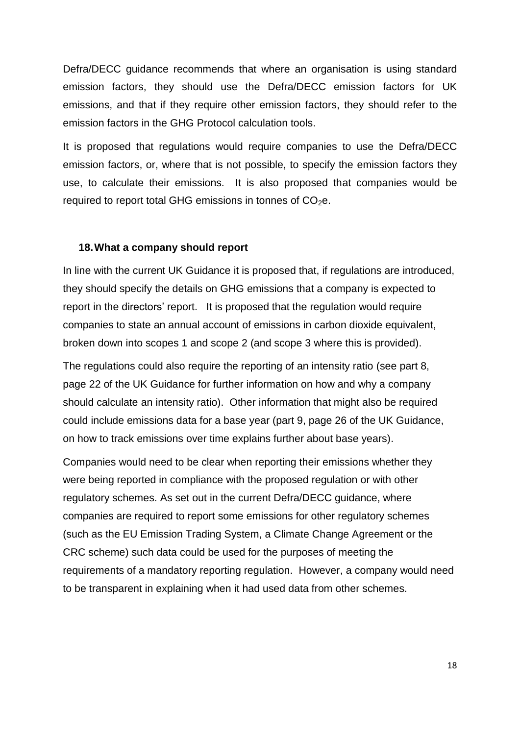Defra/DECC guidance recommends that where an organisation is using standard emission factors, they should use the Defra/DECC emission factors for UK emissions, and that if they require other emission factors, they should refer to the emission factors in the GHG Protocol calculation tools.

It is proposed that regulations would require companies to use the Defra/DECC emission factors, or, where that is not possible, to specify the emission factors they use, to calculate their emissions. It is also proposed that companies would be required to report total GHG emissions in tonnes of  $CO<sub>2</sub>e$ .

#### **18.What a company should report**

In line with the current UK Guidance it is proposed that, if regulations are introduced, they should specify the details on GHG emissions that a company is expected to report in the directors' report. It is proposed that the regulation would require companies to state an annual account of emissions in carbon dioxide equivalent, broken down into scopes 1 and scope 2 (and scope 3 where this is provided).

The regulations could also require the reporting of an intensity ratio (see part 8, page 22 of the UK Guidance for further information on how and why a company should calculate an intensity ratio). Other information that might also be required could include emissions data for a base year (part 9, page 26 of the UK Guidance, on how to track emissions over time explains further about base years).

Companies would need to be clear when reporting their emissions whether they were being reported in compliance with the proposed regulation or with other regulatory schemes. As set out in the current Defra/DECC guidance, where companies are required to report some emissions for other regulatory schemes (such as the EU Emission Trading System, a Climate Change Agreement or the CRC scheme) such data could be used for the purposes of meeting the requirements of a mandatory reporting regulation. However, a company would need to be transparent in explaining when it had used data from other schemes.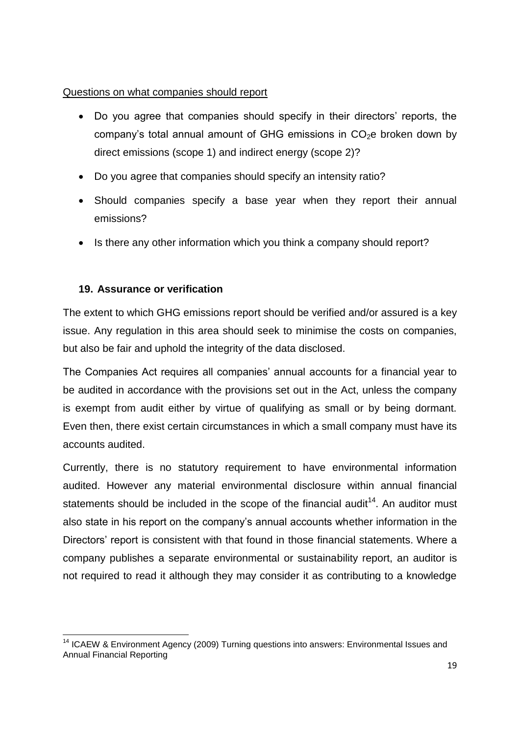## Questions on what companies should report

- Do you agree that companies should specify in their directors' reports, the company's total annual amount of GHG emissions in  $CO<sub>2</sub>e$  broken down by direct emissions (scope 1) and indirect energy (scope 2)?
- Do you agree that companies should specify an intensity ratio?
- Should companies specify a base year when they report their annual emissions?
- Is there any other information which you think a company should report?

## **19. Assurance or verification**

**.** 

The extent to which GHG emissions report should be verified and/or assured is a key issue. Any regulation in this area should seek to minimise the costs on companies, but also be fair and uphold the integrity of the data disclosed.

The Companies Act requires all companies' annual accounts for a financial year to be audited in accordance with the provisions set out in the Act, unless the company is exempt from audit either by virtue of qualifying as small or by being dormant. Even then, there exist certain circumstances in which a small company must have its accounts audited.

Currently, there is no statutory requirement to have environmental information audited. However any material environmental disclosure within annual financial statements should be included in the scope of the financial audit<sup>14</sup>. An auditor must also state in his report on the company"s annual accounts whether information in the Directors" report is consistent with that found in those financial statements. Where a company publishes a separate environmental or sustainability report, an auditor is not required to read it although they may consider it as contributing to a knowledge

<sup>&</sup>lt;sup>14</sup> ICAEW & Environment Agency (2009) Turning questions into answers: Environmental Issues and Annual Financial Reporting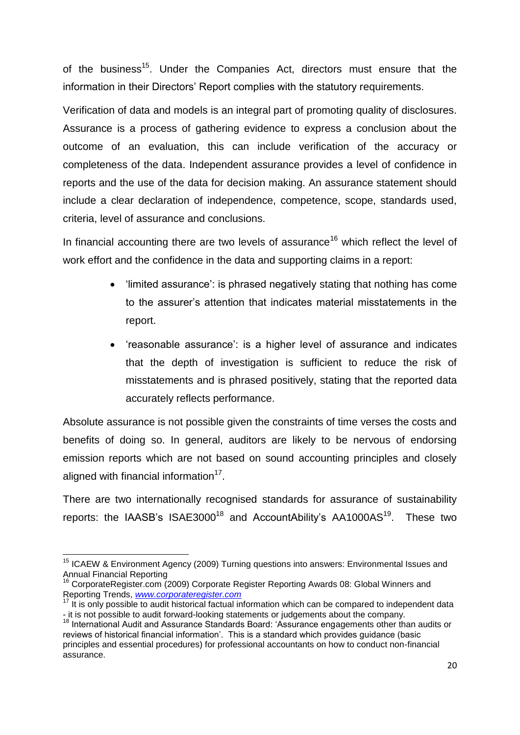of the business<sup>15</sup>. Under the Companies Act, directors must ensure that the information in their Directors' Report complies with the statutory requirements.

Verification of data and models is an integral part of promoting quality of disclosures. Assurance is a process of gathering evidence to express a conclusion about the outcome of an evaluation, this can include verification of the accuracy or completeness of the data. Independent assurance provides a level of confidence in reports and the use of the data for decision making. An assurance statement should include a clear declaration of independence, competence, scope, standards used, criteria, level of assurance and conclusions.

In financial accounting there are two levels of assurance<sup>16</sup> which reflect the level of work effort and the confidence in the data and supporting claims in a report:

- "limited assurance": is phrased negatively stating that nothing has come to the assurer"s attention that indicates material misstatements in the report.
- 'reasonable assurance': is a higher level of assurance and indicates that the depth of investigation is sufficient to reduce the risk of misstatements and is phrased positively, stating that the reported data accurately reflects performance.

Absolute assurance is not possible given the constraints of time verses the costs and benefits of doing so. In general, auditors are likely to be nervous of endorsing emission reports which are not based on sound accounting principles and closely aligned with financial information $17$ .

There are two internationally recognised standards for assurance of sustainability reports: the IAASB's ISAE3000<sup>18</sup> and AccountAbility's AA1000AS<sup>19</sup>. These two

 $\overline{\phantom{a}}$  $15$  ICAEW & Environment Agency (2009) Turning questions into answers: Environmental Issues and Annual Financial Reporting

<sup>&</sup>lt;sup>16</sup> CorporateRegister.com (2009) Corporate Register Reporting Awards 08: Global Winners and Reporting Trends, *[www.corporateregister.com](http://www.corporateregister.com/)*

 $17$  It is only possible to audit historical factual information which can be compared to independent data - it is not possible to audit forward-looking statements or judgements about the company.

<sup>&</sup>lt;sup>18</sup> International Audit and Assurance Standards Board: 'Assurance engagements other than audits or reviews of historical financial information'. This is a standard which provides quidance (basic principles and essential procedures) for professional accountants on how to conduct non-financial assurance.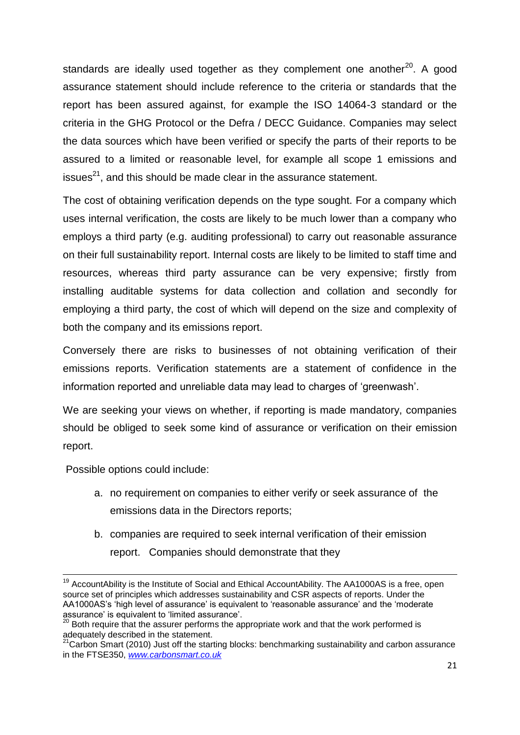standards are ideally used together as they complement one another<sup>20</sup>. A good assurance statement should include reference to the criteria or standards that the report has been assured against, for example the ISO 14064-3 standard or the criteria in the GHG Protocol or the Defra / DECC Guidance. Companies may select the data sources which have been verified or specify the parts of their reports to be assured to a limited or reasonable level, for example all scope 1 emissions and issues $^{21}$ , and this should be made clear in the assurance statement.

The cost of obtaining verification depends on the type sought. For a company which uses internal verification, the costs are likely to be much lower than a company who employs a third party (e.g. auditing professional) to carry out reasonable assurance on their full sustainability report. Internal costs are likely to be limited to staff time and resources, whereas third party assurance can be very expensive; firstly from installing auditable systems for data collection and collation and secondly for employing a third party, the cost of which will depend on the size and complexity of both the company and its emissions report.

Conversely there are risks to businesses of not obtaining verification of their emissions reports. Verification statements are a statement of confidence in the information reported and unreliable data may lead to charges of "greenwash".

We are seeking your views on whether, if reporting is made mandatory, companies should be obliged to seek some kind of assurance or verification on their emission report.

Possible options could include:

- a. no requirement on companies to either verify or seek assurance of the emissions data in the Directors reports;
- b. companies are required to seek internal verification of their emission report. Companies should demonstrate that they

**<sup>.</sup>**  $19$  AccountAbility is the Institute of Social and Ethical AccountAbility. The AA1000AS is a free, open source set of principles which addresses sustainability and CSR aspects of reports. Under the AA1000AS's 'high level of assurance' is equivalent to 'reasonable assurance' and the 'moderate assurance' is equivalent to 'limited assurance'.

 $20$  Both require that the assurer performs the appropriate work and that the work performed is adequately described in the statement.

<sup>&</sup>lt;sup>21</sup>Carbon Smart (2010) Just off the starting blocks: benchmarking sustainability and carbon assurance in the FTSE350, *[www.carbonsmart.co.uk](http://www.carbonsmart.co.uk/)*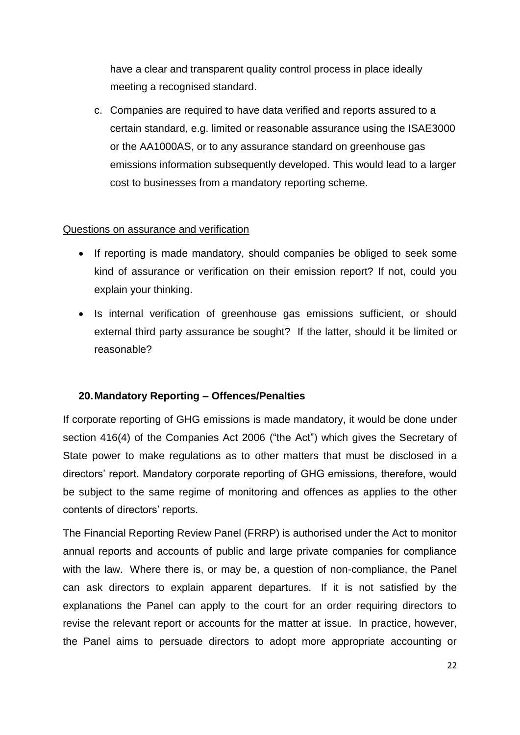have a clear and transparent quality control process in place ideally meeting a recognised standard.

c. Companies are required to have data verified and reports assured to a certain standard, e.g. limited or reasonable assurance using the ISAE3000 or the AA1000AS, or to any assurance standard on greenhouse gas emissions information subsequently developed. This would lead to a larger cost to businesses from a mandatory reporting scheme.

#### Questions on assurance and verification

- If reporting is made mandatory, should companies be obliged to seek some kind of assurance or verification on their emission report? If not, could you explain your thinking.
- Is internal verification of greenhouse gas emissions sufficient, or should external third party assurance be sought? If the latter, should it be limited or reasonable?

## **20.Mandatory Reporting – Offences/Penalties**

If corporate reporting of GHG emissions is made mandatory, it would be done under section 416(4) of the Companies Act 2006 ("the Act") which gives the Secretary of State power to make regulations as to other matters that must be disclosed in a directors" report. Mandatory corporate reporting of GHG emissions, therefore, would be subject to the same regime of monitoring and offences as applies to the other contents of directors' reports.

The Financial Reporting Review Panel (FRRP) is authorised under the Act to monitor annual reports and accounts of public and large private companies for compliance with the law. Where there is, or may be, a question of non-compliance, the Panel can ask directors to explain apparent departures. If it is not satisfied by the explanations the Panel can apply to the court for an order requiring directors to revise the relevant report or accounts for the matter at issue. In practice, however, the Panel aims to persuade directors to adopt more appropriate accounting or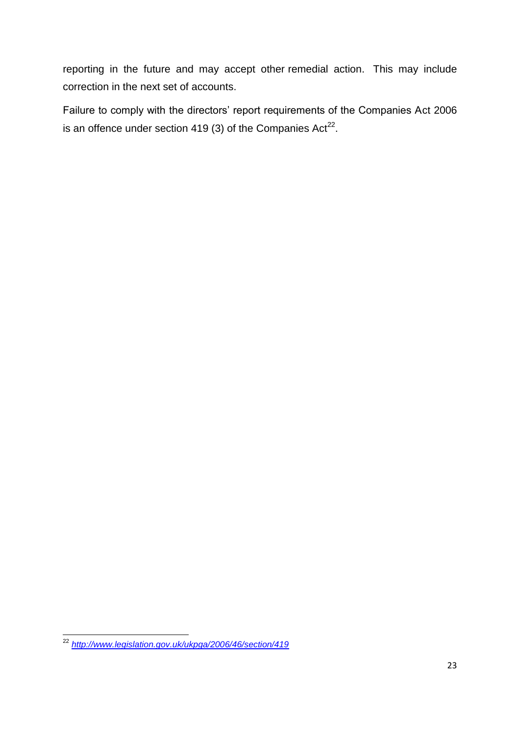reporting in the future and may accept other remedial action. This may include correction in the next set of accounts.

Failure to comply with the directors' report requirements of the Companies Act 2006 is an offence under section 419 (3) of the Companies  $Act^{22}$ .

 $\overline{\phantom{a}}$ <sup>22</sup> *<http://www.legislation.gov.uk/ukpga/2006/46/section/419>*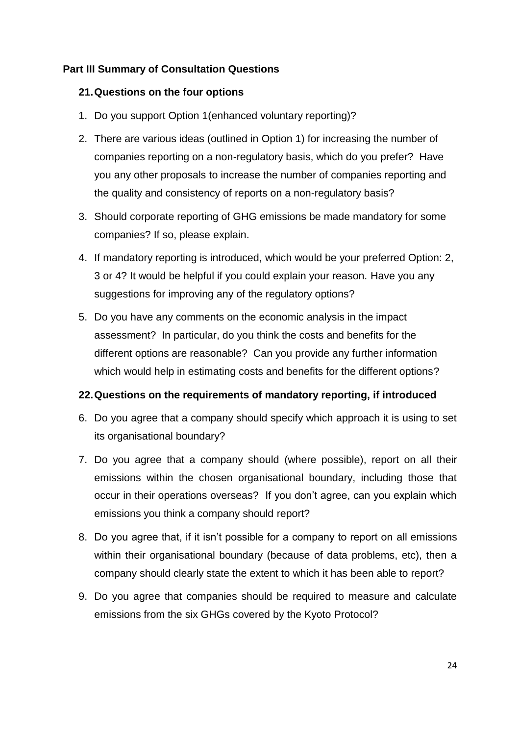## **Part III Summary of Consultation Questions**

#### **21.Questions on the four options**

- 1. Do you support Option 1(enhanced voluntary reporting)?
- 2. There are various ideas (outlined in Option 1) for increasing the number of companies reporting on a non-regulatory basis, which do you prefer? Have you any other proposals to increase the number of companies reporting and the quality and consistency of reports on a non-regulatory basis?
- 3. Should corporate reporting of GHG emissions be made mandatory for some companies? If so, please explain.
- 4. If mandatory reporting is introduced, which would be your preferred Option: 2, 3 or 4? It would be helpful if you could explain your reason. Have you any suggestions for improving any of the regulatory options?
- 5. Do you have any comments on the economic analysis in the impact assessment? In particular, do you think the costs and benefits for the different options are reasonable? Can you provide any further information which would help in estimating costs and benefits for the different options?

## **22.Questions on the requirements of mandatory reporting, if introduced**

- 6. Do you agree that a company should specify which approach it is using to set its organisational boundary?
- 7. Do you agree that a company should (where possible), report on all their emissions within the chosen organisational boundary, including those that occur in their operations overseas? If you don"t agree, can you explain which emissions you think a company should report?
- 8. Do you agree that, if it isn"t possible for a company to report on all emissions within their organisational boundary (because of data problems, etc), then a company should clearly state the extent to which it has been able to report?
- 9. Do you agree that companies should be required to measure and calculate emissions from the six GHGs covered by the Kyoto Protocol?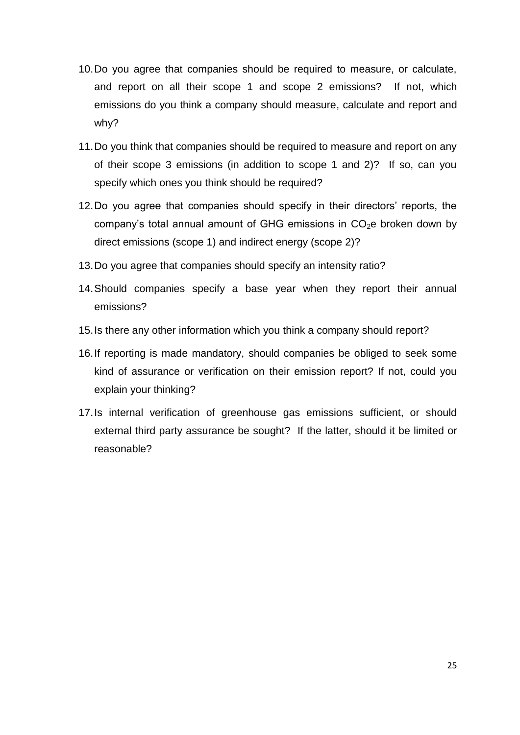- 10.Do you agree that companies should be required to measure, or calculate, and report on all their scope 1 and scope 2 emissions? If not, which emissions do you think a company should measure, calculate and report and why?
- 11.Do you think that companies should be required to measure and report on any of their scope 3 emissions (in addition to scope 1 and 2)? If so, can you specify which ones you think should be required?
- 12. Do you agree that companies should specify in their directors' reports, the company's total annual amount of GHG emissions in  $CO<sub>2</sub>e$  broken down by direct emissions (scope 1) and indirect energy (scope 2)?
- 13.Do you agree that companies should specify an intensity ratio?
- 14.Should companies specify a base year when they report their annual emissions?
- 15.Is there any other information which you think a company should report?
- 16.If reporting is made mandatory, should companies be obliged to seek some kind of assurance or verification on their emission report? If not, could you explain your thinking?
- 17.Is internal verification of greenhouse gas emissions sufficient, or should external third party assurance be sought? If the latter, should it be limited or reasonable?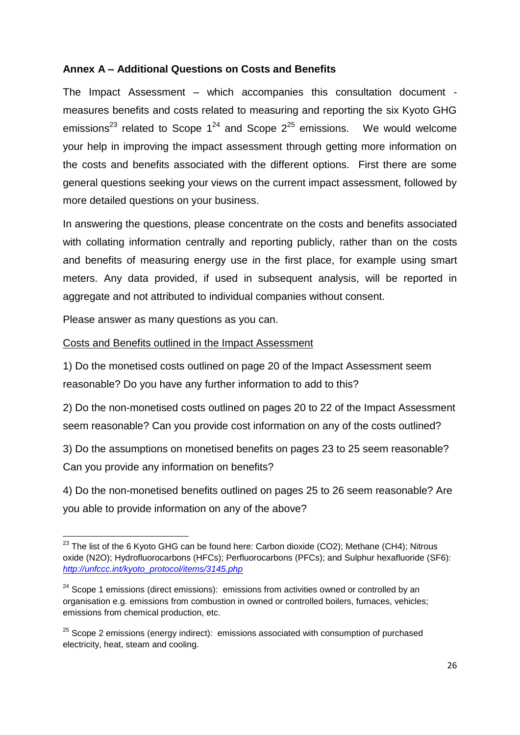## **Annex A – Additional Questions on Costs and Benefits**

The Impact Assessment – which accompanies this consultation document measures benefits and costs related to measuring and reporting the six Kyoto GHG emissions<sup>23</sup> related to Scope  $1^{24}$  and Scope  $2^{25}$  emissions. We would welcome your help in improving the impact assessment through getting more information on the costs and benefits associated with the different options. First there are some general questions seeking your views on the current impact assessment, followed by more detailed questions on your business.

In answering the questions, please concentrate on the costs and benefits associated with collating information centrally and reporting publicly, rather than on the costs and benefits of measuring energy use in the first place, for example using smart meters. Any data provided, if used in subsequent analysis, will be reported in aggregate and not attributed to individual companies without consent.

Please answer as many questions as you can.

#### Costs and Benefits outlined in the Impact Assessment

1) Do the monetised costs outlined on page 20 of the Impact Assessment seem reasonable? Do you have any further information to add to this?

2) Do the non-monetised costs outlined on pages 20 to 22 of the Impact Assessment seem reasonable? Can you provide cost information on any of the costs outlined?

3) Do the assumptions on monetised benefits on pages 23 to 25 seem reasonable? Can you provide any information on benefits?

4) Do the non-monetised benefits outlined on pages 25 to 26 seem reasonable? Are you able to provide information on any of the above?

**<sup>.</sup>**  $23$  The list of the 6 Kyoto GHG can be found here: Carbon dioxide (CO2); Methane (CH4); Nitrous oxide (N2O); Hydrofluorocarbons (HFCs); Perfluorocarbons (PFCs); and Sulphur hexafluoride (SF6): *[http://unfccc.int/kyoto\\_protocol/items/3145.php](http://unfccc.int/kyoto_protocol/items/3145.php)*

 $24$  Scope 1 emissions (direct emissions): emissions from activities owned or controlled by an organisation e.g. emissions from combustion in owned or controlled boilers, furnaces, vehicles; emissions from chemical production, etc.

 $25$  Scope 2 emissions (energy indirect): emissions associated with consumption of purchased electricity, heat, steam and cooling.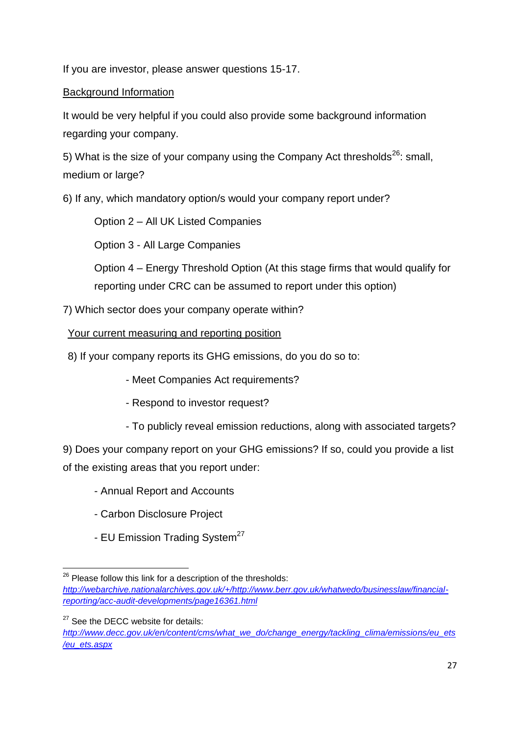If you are investor, please answer questions 15-17.

## Background Information

It would be very helpful if you could also provide some background information regarding your company.

5) What is the size of your company using the Company Act thresholds<sup>26</sup>: small, medium or large?

6) If any, which mandatory option/s would your company report under?

Option 2 – All UK Listed Companies

Option 3 - All Large Companies

Option 4 – Energy Threshold Option (At this stage firms that would qualify for reporting under CRC can be assumed to report under this option)

7) Which sector does your company operate within?

Your current measuring and reporting position

8) If your company reports its GHG emissions, do you do so to:

- Meet Companies Act requirements?

- Respond to investor request?

- To publicly reveal emission reductions, along with associated targets?

9) Does your company report on your GHG emissions? If so, could you provide a list of the existing areas that you report under:

- Annual Report and Accounts
- Carbon Disclosure Project
- EU Emission Trading System<sup>27</sup>

<sup>1</sup>  $26$  Please follow this link for a description of the thresholds: *[http://webarchive.nationalarchives.gov.uk/+/http://www.berr.gov.uk/whatwedo/businesslaw/financial](http://webarchive.nationalarchives.gov.uk/+/http:/www.berr.gov.uk/whatwedo/businesslaw/financial-reporting/acc-audit-developments/page16361.html)[reporting/acc-audit-developments/page16361.html](http://webarchive.nationalarchives.gov.uk/+/http:/www.berr.gov.uk/whatwedo/businesslaw/financial-reporting/acc-audit-developments/page16361.html)*

<sup>&</sup>lt;sup>27</sup> See the DECC website for details:

*[http://www.decc.gov.uk/en/content/cms/what\\_we\\_do/change\\_energy/tackling\\_clima/emissions/eu\\_ets](http://www.decc.gov.uk/en/content/cms/what_we_do/change_energy/tackling_clima/emissions/eu_ets/eu_ets.aspx) [/eu\\_ets.aspx](http://www.decc.gov.uk/en/content/cms/what_we_do/change_energy/tackling_clima/emissions/eu_ets/eu_ets.aspx)*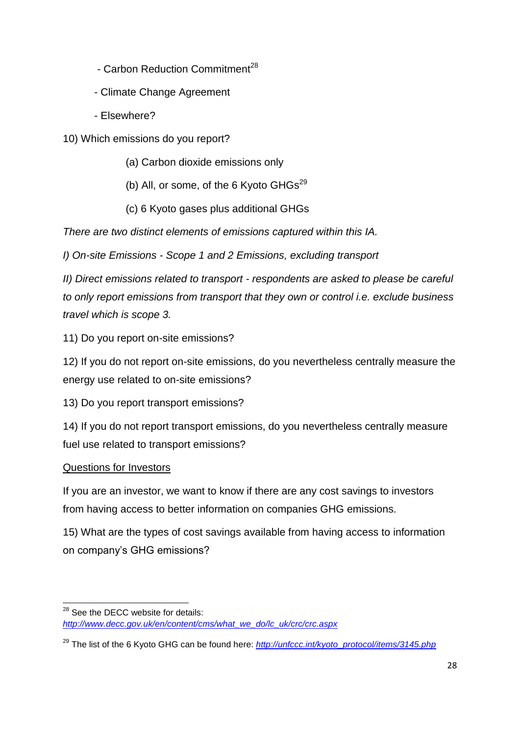- Carbon Reduction Commitment<sup>28</sup>
- Climate Change Agreement
- Elsewhere?
- 10) Which emissions do you report?
	- (a) Carbon dioxide emissions only
	- (b) All, or some, of the 6 Kyoto  $GHS<sup>29</sup>$
	- (c) 6 Kyoto gases plus additional GHGs

*There are two distinct elements of emissions captured within this IA.*

*I) On-site Emissions - Scope 1 and 2 Emissions, excluding transport*

*II) Direct emissions related to transport - respondents are asked to please be careful to only report emissions from transport that they own or control i.e. exclude business travel which is scope 3.*

11) Do you report on-site emissions?

12) If you do not report on-site emissions, do you nevertheless centrally measure the energy use related to on-site emissions?

13) Do you report transport emissions?

14) If you do not report transport emissions, do you nevertheless centrally measure fuel use related to transport emissions?

## Questions for Investors

If you are an investor, we want to know if there are any cost savings to investors from having access to better information on companies GHG emissions.

15) What are the types of cost savings available from having access to information on company"s GHG emissions?

**<sup>.</sup>**  $28$  See the DECC website for details: *[http://www.decc.gov.uk/en/content/cms/what\\_we\\_do/lc\\_uk/crc/crc.aspx](http://www.decc.gov.uk/en/content/cms/what_we_do/lc_uk/crc/crc.aspx)*

<sup>29</sup> The list of the 6 Kyoto GHG can be found here: *[http://unfccc.int/kyoto\\_protocol/items/3145.php](http://unfccc.int/kyoto_protocol/items/3145.php)*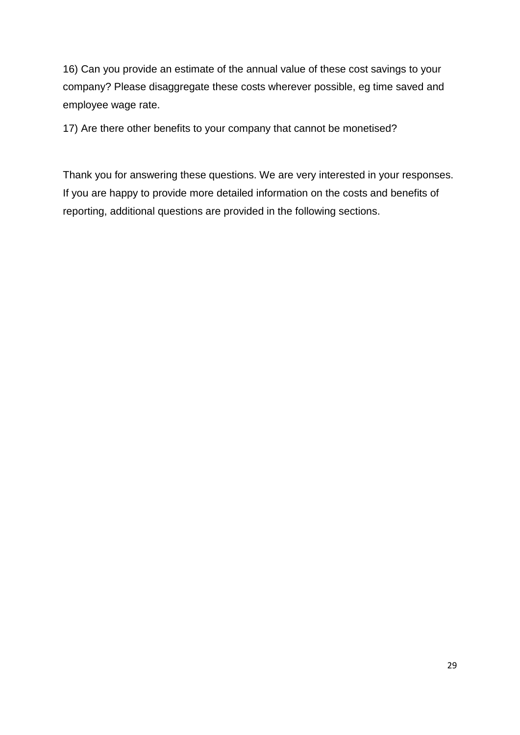16) Can you provide an estimate of the annual value of these cost savings to your company? Please disaggregate these costs wherever possible, eg time saved and employee wage rate.

17) Are there other benefits to your company that cannot be monetised?

Thank you for answering these questions. We are very interested in your responses. If you are happy to provide more detailed information on the costs and benefits of reporting, additional questions are provided in the following sections.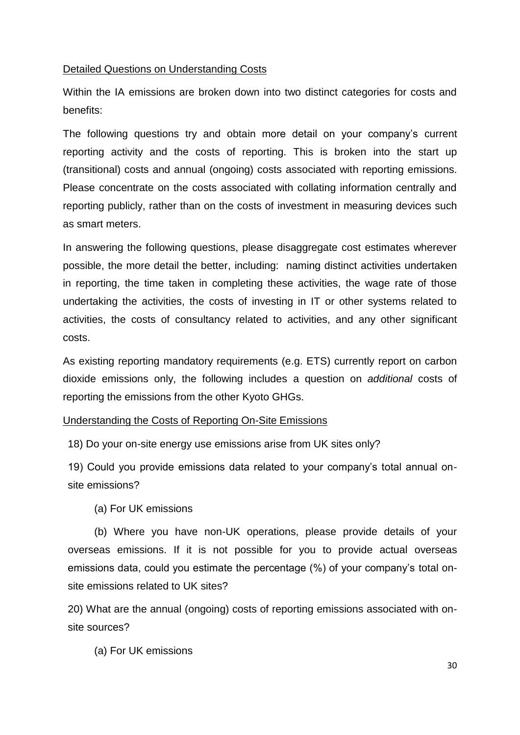#### Detailed Questions on Understanding Costs

Within the IA emissions are broken down into two distinct categories for costs and benefits:

The following questions try and obtain more detail on your company"s current reporting activity and the costs of reporting. This is broken into the start up (transitional) costs and annual (ongoing) costs associated with reporting emissions. Please concentrate on the costs associated with collating information centrally and reporting publicly, rather than on the costs of investment in measuring devices such as smart meters.

In answering the following questions, please disaggregate cost estimates wherever possible, the more detail the better, including: naming distinct activities undertaken in reporting, the time taken in completing these activities, the wage rate of those undertaking the activities, the costs of investing in IT or other systems related to activities, the costs of consultancy related to activities, and any other significant costs.

As existing reporting mandatory requirements (e.g. ETS) currently report on carbon dioxide emissions only, the following includes a question on *additional* costs of reporting the emissions from the other Kyoto GHGs.

#### Understanding the Costs of Reporting On-Site Emissions

18) Do your on-site energy use emissions arise from UK sites only?

19) Could you provide emissions data related to your company"s total annual onsite emissions?

(a) For UK emissions

(b) Where you have non-UK operations, please provide details of your overseas emissions. If it is not possible for you to provide actual overseas emissions data, could you estimate the percentage (%) of your company"s total onsite emissions related to UK sites?

20) What are the annual (ongoing) costs of reporting emissions associated with onsite sources?

(a) For UK emissions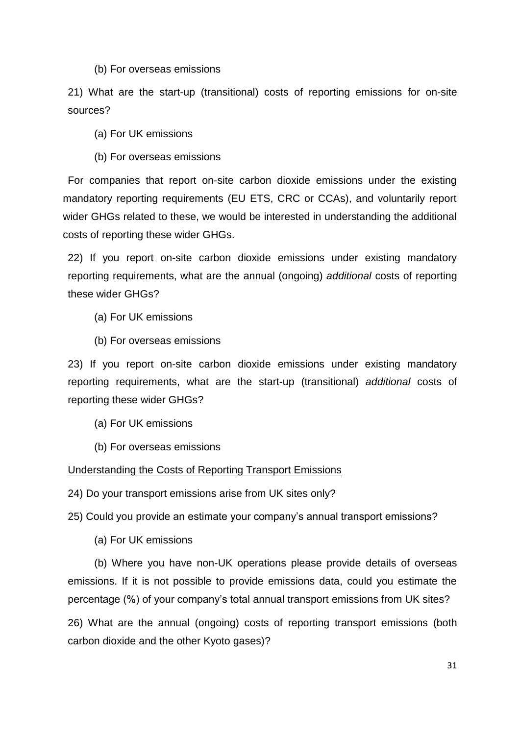(b) For overseas emissions

21) What are the start-up (transitional) costs of reporting emissions for on-site sources?

(a) For UK emissions

(b) For overseas emissions

For companies that report on-site carbon dioxide emissions under the existing mandatory reporting requirements (EU ETS, CRC or CCAs), and voluntarily report wider GHGs related to these, we would be interested in understanding the additional costs of reporting these wider GHGs.

22) If you report on-site carbon dioxide emissions under existing mandatory reporting requirements, what are the annual (ongoing) *additional* costs of reporting these wider GHGs?

(a) For UK emissions

(b) For overseas emissions

23) If you report on-site carbon dioxide emissions under existing mandatory reporting requirements, what are the start-up (transitional) *additional* costs of reporting these wider GHGs?

(a) For UK emissions

(b) For overseas emissions

#### Understanding the Costs of Reporting Transport Emissions

24) Do your transport emissions arise from UK sites only?

25) Could you provide an estimate your company"s annual transport emissions?

(a) For UK emissions

(b) Where you have non-UK operations please provide details of overseas emissions. If it is not possible to provide emissions data, could you estimate the percentage (%) of your company"s total annual transport emissions from UK sites?

26) What are the annual (ongoing) costs of reporting transport emissions (both carbon dioxide and the other Kyoto gases)?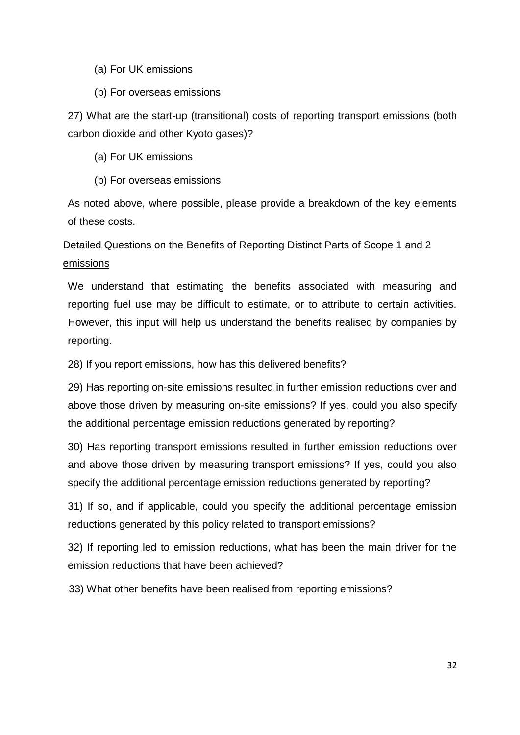#### (a) For UK emissions

(b) For overseas emissions

27) What are the start-up (transitional) costs of reporting transport emissions (both carbon dioxide and other Kyoto gases)?

- (a) For UK emissions
- (b) For overseas emissions

As noted above, where possible, please provide a breakdown of the key elements of these costs.

# Detailed Questions on the Benefits of Reporting Distinct Parts of Scope 1 and 2 emissions

We understand that estimating the benefits associated with measuring and reporting fuel use may be difficult to estimate, or to attribute to certain activities. However, this input will help us understand the benefits realised by companies by reporting.

28) If you report emissions, how has this delivered benefits?

29) Has reporting on-site emissions resulted in further emission reductions over and above those driven by measuring on-site emissions? If yes, could you also specify the additional percentage emission reductions generated by reporting?

30) Has reporting transport emissions resulted in further emission reductions over and above those driven by measuring transport emissions? If yes, could you also specify the additional percentage emission reductions generated by reporting?

31) If so, and if applicable, could you specify the additional percentage emission reductions generated by this policy related to transport emissions?

32) If reporting led to emission reductions, what has been the main driver for the emission reductions that have been achieved?

33) What other benefits have been realised from reporting emissions?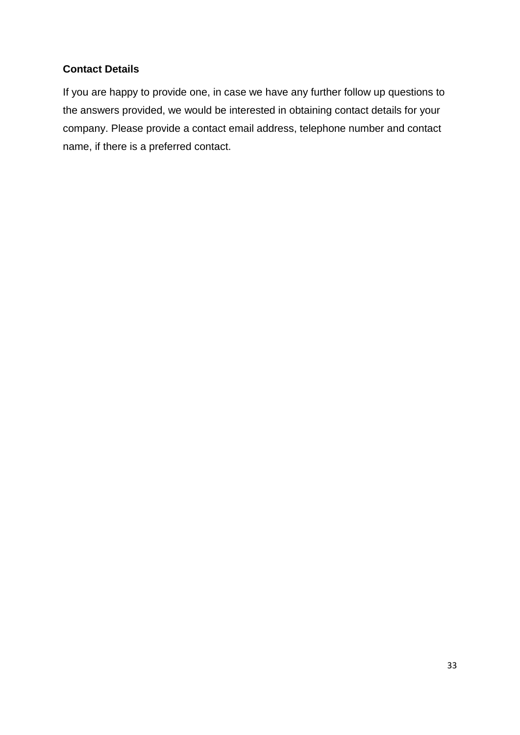## **Contact Details**

If you are happy to provide one, in case we have any further follow up questions to the answers provided, we would be interested in obtaining contact details for your company. Please provide a contact email address, telephone number and contact name, if there is a preferred contact.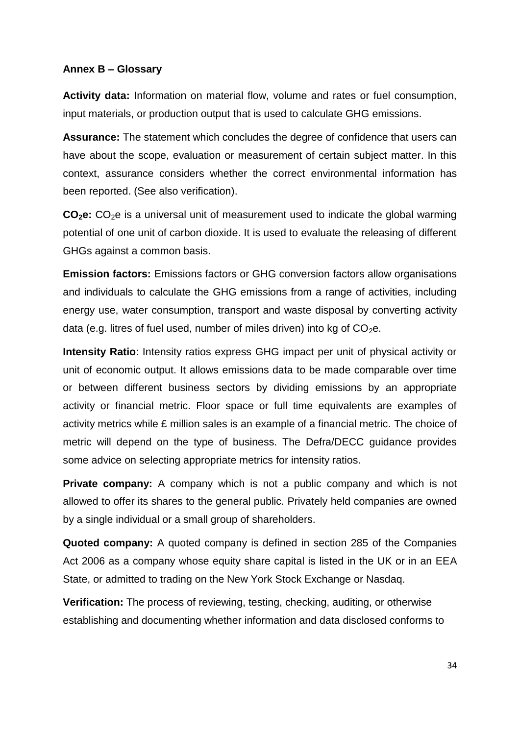#### **Annex B – Glossary**

**Activity data:** Information on material flow, volume and rates or fuel consumption, input materials, or production output that is used to calculate GHG emissions.

**Assurance:** The statement which concludes the degree of confidence that users can have about the scope, evaluation or measurement of certain subject matter. In this context, assurance considers whether the correct environmental information has been reported. (See also verification).

**CO<sub>2</sub>e:** CO<sub>2</sub>e is a universal unit of measurement used to indicate the global warming potential of one unit of carbon dioxide. It is used to evaluate the releasing of different GHGs against a common basis.

**Emission factors:** Emissions factors or GHG conversion factors allow organisations and individuals to calculate the GHG emissions from a range of activities, including energy use, water consumption, transport and waste disposal by converting activity data (e.g. litres of fuel used, number of miles driven) into kg of  $CO<sub>2</sub>e$ .

**Intensity Ratio**: Intensity ratios express GHG impact per unit of physical activity or unit of economic output. It allows emissions data to be made comparable over time or between different business sectors by dividing emissions by an appropriate activity or financial metric. Floor space or full time equivalents are examples of activity metrics while £ million sales is an example of a financial metric. The choice of metric will depend on the type of business. The Defra/DECC guidance provides some advice on selecting appropriate metrics for intensity ratios.

**Private company:** A company which is not a public company and which is not allowed to offer its shares to the general public. Privately held companies are owned by a single individual or a small group of shareholders.

**Quoted company:** A quoted company is defined in section 285 of the Companies Act 2006 as a company whose equity share capital is listed in the UK or in an EEA State, or admitted to trading on the New York Stock Exchange or Nasdaq.

**Verification:** The process of reviewing, testing, checking, auditing, or otherwise establishing and documenting whether information and data disclosed conforms to